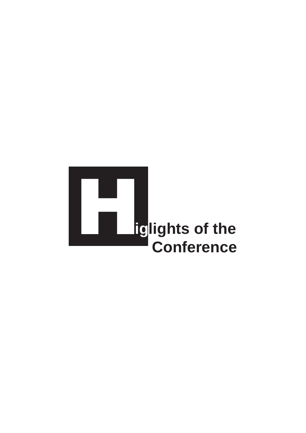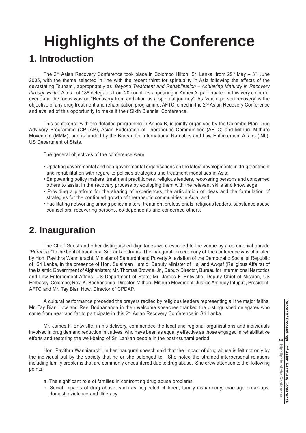# **Highlights of the Conference**

### **1. Introduction**

The 2<sup>nd</sup> Asian Recovery Conference took place in Colombo Hilton, Sri Lanka, from 29<sup>th</sup> May - 3<sup>rd</sup> June 2005, with the theme selected in line with the recent thirst for spirituality in Asia following the effects of the devastating Tsunami, appropriately as '*Beyond Treatment and Rehabilitation – Achieving Maturity in Recovery through Faith'*. A total of 188 delegates from 20 countries appearing in Annex A, participated in this very colourful event and the focus was on "Recovery from addiction as a spiritual journey". As 'whole person recovery' is the objective of any drug treatment and rehabilitation programme, AFTC joined in the 2nd Asian Recovery Conference and availed of this opportunity to make it their Sixth Biennial Conference.

This conference with the detailed programme in Annex B, is jointly organised by the Colombo Plan Drug Advisory Programme (CPDAP), Asian Federation of Therapeutic Communities (AFTC) and Mithuru-Mithuro Movement (MMM), and is funded by the Bureau for International Narcotics and Law Enforcement Affairs (INL), US Department of State.

The general objectives of the conference were:

- Updating governmental and non-governmental organisations on the latest developments in drug treatment and rehabilitation with regard to policies strategies and treatment modalities in Asia;
- Empowering policy makers, treatment practitioners, religious leaders, recovering persons and concerned others to assist in the recovery process by equipping them with the relevant skills and knowledge;
- Providing a platform for the sharing of experiences, the articulation of ideas and the formulation of strategies for the continued growth of therapeutic communities in Asia; and
- Facilitating networking among policy makers, treatment professionals, religious leaders, substance abuse counsellors, recovering persons, co-dependents and concerned others.

## **2. Inauguration**

The Chief Guest and other distinguished dignitaries were escorted to the venue by a ceremonial parade *"Perahera"* to the beat of traditional Sri Lankan drums. The inauguration ceremony of the conference was officiated by Hon. Pavithra Wanniarachi, Minister of Samurdhi and Poverty Alleviation of the Democratic Socialist Republic of Sri Lanka, in the presence of Hon. Sulaiman Hamid, Deputy Minister of Haj and Awqaf (Religious Affairs) of the Islamic Government of Afghanistan; Mr. Thomas Browne, Jr., Deputy Director, Bureau for International Narcotics and Law Enforcement Affairs, US Department of State; Mr. James F. Entwistle, Deputy Chief of Mission, US Embassy, Colombo; Rev. K. Bodhananda, Director, Mithuru-Mithuro Movement; Justice Amnuay Intuputi, President, AFTC and Mr. Tay Bian How, Director of CPDAP.

A cultural performance preceded the prayers recited by religious leaders representing all the major faiths. Mr. Tay Bian How and Rev. Bodhananda in their welcome speeches thanked the distinguished delegates who came from near and far to participate in this 2<sup>nd</sup> Asian Recovery Conference in Sri Lanka.

Mr. James F. Entwistle, in his delivery, commended the local and regional organisations and individuals involved in drug demand reduction initiatives, who have been as equally effective as those engaged in rehabilitative efforts and restoring the well-being of Sri Lankan people in the post-tsunami period.

Hon. Pavithra Wanniarachi, in her inaugural speech said that the impact of drug abuse is felt not only by the individual but by the society that he or she belonged to. She noted the strained interpersonal relations including family problems that are commonly encountered due to drug abuse. She drew attention to the following points:

- a. The significant role of families in confronting drug abuse problems
- b. Social impacts of drug abuse, such as neglected children, family disharmony, marriage break-ups, domestic violence and illiteracy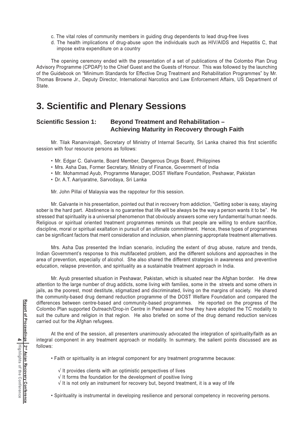- c. The vital roles of community members in guiding drug dependents to lead drug-free lives
- d. The health implications of drug-abuse upon the individuals such as HIV/AIDS and Hepatitis C, that impose extra expenditure on a country

The opening ceremony ended with the presentation of a set of publications of the Colombo Plan Drug Advisory Programme (CPDAP) to the Chief Guest and the Guests of Honour. This was followed by the launching of the Guidebook on "Minimum Standards for Effective Drug Treatment and Rehabilitation Programmes" by Mr. Thomas Browne Jr., Deputy Director, International Narcotics and Law Enforcement Affairs, US Department of State.

### **3. Scientific and Plenary Sessions**

#### **Scientific Session 1: Beyond Treatment and Rehabilitation – Achieving Maturity in Recovery through Faith**

Mr. Tilak Rananvirajah, Secretary of Ministry of Internal Security, Sri Lanka chaired this first scientific session with four resource persons as follows:

- Mr. Edgar C. Galvante, Board Member, Dangerous Drugs Board, Philippines
- Mrs. Asha Das, Former Secretary, Ministry of Finance, Government of India
- Mr. Mohammad Ayub, Programme Manager, DOST Welfare Foundation, Peshawar, Pakistan
- Dr. A.T. Aariyaratne, Sarvodaya, Sri Lanka

Mr. John Pillai of Malaysia was the rappoteur for this session.

Mr. Galvante in his presentation, pointed out that in recovery from addiction, "Getting sober is easy, staying sober is the hard part. Abstinence is no guarantee that life will be always be the way a person wants it to be". He stressed that spirituality is a universal phenomenon that obviously answers some very fundamental human needs. Religious or spiritual oriented treatment programmes reminds us that people are willing to endure sacrifice, discipline, moral or spiritual exaltation in pursuit of an ultimate commitment. Hence, these types of programmes can be significant factors that merit consideration and inclusion, when planning appropriate treatment alternatives.

Mrs. Asha Das presented the Indian scenario, including the extent of drug abuse, nature and trends, Indian Government's response to this multifaceted problem, and the different solutions and approaches in the area of prevention, especially of alcohol. She also shared the different strategies in awareness and preventive education, relapse prevention, and spirituality as a sustainable treatment approach in India.

Mr. Ayub presented situation in Peshawar, Pakistan, which is situated near the Afghan border. He drew attention to the large number of drug addicts, some living with families, some in the streets and some others in jails, as the poorest, most destitute, stigmatized and discriminated, living on the margins of society. He shared the community-based drug demand reduction programme of the DOST Welfare Foundation and compared the differences between centre-based and community-based programmes. He reported on the progress of the Colombo Plan supported Outreach/Drop-in Centre in Peshawar and how they have adopted the TC modality to suit the culture and religion in that region. He also briefed on some of the drug demand reduction services carried out for the Afghan refugees.

At the end of the session, all presenters unanimously advocated the integration of spirituality/faith as an integral component in any treatment approach or modality. In summary, the salient points discussed are as follows:

- Faith or spirituality is an integral component for any treatment programme because:
	- √ It provides clients with an optimistic perspectives of lives
	- √ It forms the foundation for the development of positive living
	- $\sqrt{1}$  It is not only an instrument for recovery but, beyond treatment, it is a way of life
- Spirituality is instrumental in developing resilience and personal competency in recovering persons.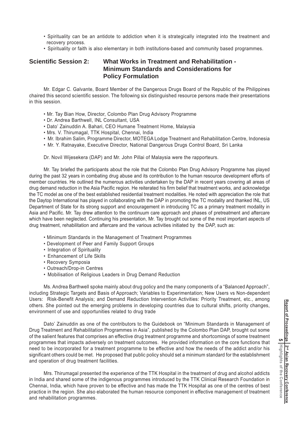- Spirituality can be an antidote to addiction when it is strategically integrated into the treatment and recovery process.
- Spirituality or faith is also elementary in both institutions-based and community based programmes.

#### **Scientific Session 2: What Works in Treatment and Rehabilitation - Minimum Standards and Considerations for Policy Formulation**

Mr. Edgar C. Galvante, Board Member of the Dangerous Drugs Board of the Republic of the Philippines chaired this second scientific session. The following six distinguished resource persons made their presentations in this session.

- Mr. Tay Bian How, Director, Colombo Plan Drug Advisory Programme
- Dr. Andrea Barthwell, INL Consultant, USA
- Dato' Zainuddin A. Bahari, CEO Humane Treatment Home, Malaysia
- Mrs. V. Thirumagal, TTK Hospital, Chennai, India
- Mr. Ibrahim Salim, Programme Director, MOTEGA Lodge Treatment and Rehabilitation Centre, Indonesia
- Mr. Y. Ratnayake, Executive Director, National Dangerous Drugs Control Board, Sri Lanka

Dr. Novil Wijesekera (DAP) and Mr. John Pillai of Malaysia were the rapporteurs.

Mr. Tay briefed the participants about the role that the Colombo Plan Drug Advisory Programme has played during the past 32 years in combating drug abuse and its contribution to the human resource development efforts of member countries. He outlined the numerous activities undertaken by the DAP in recent years covering all areas of drug demand reduction in the Asia Pacific region. He reiterated his firm belief that treatment works, and acknowledge the TC model as one of the best established residential treatment modalities. He noted with appreciation the role that the Daytop International has played in collaborating with the DAP in promoting the TC modality and thanked INL, US Department of State for its strong support and encouragement in introducing TC as a primary treatment modality in Asia and Pacific. Mr. Tay drew attention to the continuum care approach and phases of pretreatment and aftercare which have been neglected. Continuing his presentation, Mr. Tay brought out some of the most important aspects of drug treatment, rehabilitation and aftercare and the various activities initiated by the DAP, such as:

- Minimum Standards in the Management of Treatment Programmes
- Development of Peer and Family Support Groups
- Integration of Spirituality
- Enhancement of Life Skills
- Recovery Symposia
- Outreach/Drop-in Centres
- Mobilisation of Religious Leaders in Drug Demand Reduction

Ms. Andrea Barthwell spoke mainly about drug policy and the many components of a "Balanced Approach", including Strategic Targets and Basis of Approach; Variables to Experimentation; New Users vs Non-dependent Users: Risk-Benefit Analysis; and Demand Reduction Intervention Activities: Priority Treatment, etc., among others. She pointed out the emerging problems in developing countries due to cultural shifts, priority changes, environment of use and opportunities related to drug trade

Dato' Zainuddin as one of the contributors to the Guidebook on "Minimum Standards in Management of Drug Treatment and Rehabilitation Programmes in Asia", published by the Colombo Plan DAP, brought out some of the salient features that comprises an effective drug treatment programme and shortcomings of some treatment programmes that impacts adversely on treatment outcomes. He provided information on the core functions that need to be incorporated for a treatment programme to be effective and how the needs of the addict and/or his significant others could be met. He proposed that public policy should set a minimum standard for the establishment and operation of drug treatment facilities.

Mrs. Thirumagal presented the experience of the TTK Hospital in the treatment of drug and alcohol addicts in India and shared some of the indigenous programmes introduced by the TTK Clinical Research Foundation in Chennai, India, which have proven to be effective and has made the TTK Hospital as one of the centres of best practice in the region. She also elaborated the human resource component in effective management of treatment and rehabilitation programmes.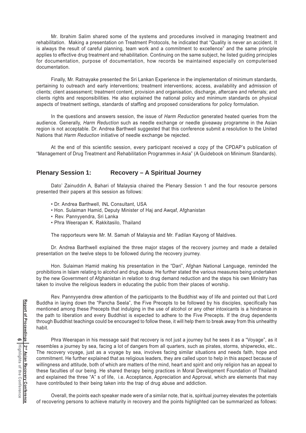Mr. Ibrahim Salim shared some of the systems and procedures involved in managing treatment and rehabilitation. Making a presentation on Treatment Protocols, he indicated that "Quality is never an accident. It is always the result of careful planning, team work and a commitment to excellence" and the same principle applies to effective drug treatment and rehabilitation. Continuing on the same subject, he listed guiding principles for documentation, purpose of documentation, how records be maintained especially on computerised documentation.

Finally, Mr. Ratnayake presented the Sri Lankan Experience in the implementation of minimum standards, pertaining to outreach and early interventions; treatment interventions; access, availability and admission of clients; client assessment; treatment content, provision and organisation, discharge, aftercare and referrals; and clients rights and responsibilities. He also explained the national policy and minimum standards on physical aspects of treatment settings, standards of staffing and proposed considerations for policy formulation.

In the questions and answers session, the issue of *Harm Reduction* generated heated queries from the audience. Generally, *Harm Reduction* such as needle exchange or needle giveaway programme in the Asian region is not acceptable. Dr. Andrea Barthwell suggested that this conference submit a resolution to the United Nations that *Harm Reduction* initiative of needle exchange be rejected.

At the end of this scientific session, every participant received a copy pf the CPDAP's publication of "Management of Drug Treatment and Rehabilitation Programmes in Asia" (A Guidebook on Minimum Standards).

#### **Plenary Session 1: Recovery – A Spiritual Journey**

Dato' Zainuddin A, Bahari of Malaysia chaired the Plenary Session 1 and the four resource persons presented their papers at this session as follows:

- Dr. Andrea Barthwell, INL Consultant, USA
- Hon. Sulaiman Hamid, Deputy Minister of Haj and Awqaf, Afghanistan
- Rev. Pannyyendra, Sri Lanka
- Phra Weerapan K. Rakkitasilo, Thailand

The rapporteurs were Mr. M. Samah of Malaysia and Mr. Fadilan Kayong of Maldives.

Dr. Andrea Barthwell explained the three major stages of the recovery journey and made a detailed presentation on the twelve steps to be followed during the recovery journey.

Hon. Sulaiman Hamid making his presentation in the "Dari", Afghan National Language, reminded the prohibitions in Islam relating to alcohol and drug abuse. He further stated the various measures being undertaken by the new Government of Afghanistan in relation to drug demand reduction and the steps his own Ministry has taken to involve the religious leaders in educating the public from their places of worship.

Rev. Pannyyendra drew attention of the participants to the Buddhist way of life and pointed out that Lord Buddha in laying down the "Pancha Seela", the Five Precepts to be followed by his disciples, specifically has mentioned among these Precepts that indulging in the use of alcohol or any other intoxicants is a hindrance in the path to liberation and every Buddhist is expected to adhere to the Five Precepts. If the drug dependents through Buddhist teachings could be encouraged to follow these, it will help them to break away from this unhealthy habit.

Phra Weerapan in his message said that recovery is not just a journey but he sees it as a "Voyage", as it resembles a journey by sea, facing a lot of dangers from all quarters, such as pirates, storms, shipwrecks, etc.. The recovery voyage, just as a voyage by sea, involves facing similar situations and needs faith, hope and commitment. He further explained that as religious leaders, they are called upon to help in this aspect because of willingness and attitude, both of which are matters of the mind, heart and spirit and only religion has an appeal to these faculties of our being. He shared therapy being practices in Moral Development Foundation of Thailand and explained the three "A" s of life, i.e. Acceptance, Appreciation and Approval, which are elements that may have contributed to their being taken into the trap of drug abuse and addiction.

Overall, the points each speaker made were of a similar note, that is, spiritual journey elevates the potentials of recovering persons to achieve maturity in recovery and the points highlighted can be summarized as follows: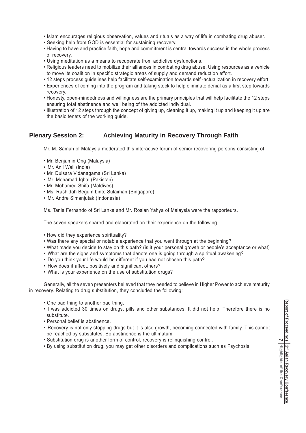- Islam encourages religious observation, values and rituals as a way of life in combating drug abuser.
- Seeking help from GOD is essential for sustaining recovery.
- Having to have and practice faith, hope and commitment is central towards success in the whole process of recovery.
- Using meditation as a means to recuperate from addictive dysfunctions.
- Religious leaders need to mobilize their alliances in combating drug abuse. Using resources as a vehicle to move its coalition in specific strategic areas of supply and demand reduction effort.
- 12 steps process guidelines help facilitate self-examination towards self -actualization in recovery effort.
- Experiences of coming into the program and taking stock to help eliminate denial as a first step towards recovery.
- Honesty, open-mindedness and willingness are the primary principles that will help facilitate the 12 steps ensuring total abstinence and well being of the addicted individual.
- Illustration of 12 steps through the concept of giving up, cleaning it up, making it up and keeping it up are the basic tenets of the working guide.

#### **Plenary Session 2: Achieving Maturity in Recovery Through Faith**

Mr. M. Samah of Malaysia moderated this interactive forum of senior recovering persons consisting of:

- Mr. Benjamin Ong (Malaysia)
- Mr. Anil Wali (India)
- Mr. Dulsara Vidanagama (Sri Lanka)
- Mr. Mohamad Iqbal (Pakistan)
- Mr. Mohamed Shifa (Maldives)
- Ms. Rashidah Begum binte Sulaiman (Singapore)
- Mr. Andre Simanjutak (Indonesia)

Ms. Tania Fernando of Sri Lanka and Mr. Roslan Yahya of Malaysia were the rapporteurs.

The seven speakers shared and elaborated on their experience on the following.

- How did they experience spirituality?
- Was there any special or notable experience that you went through at the beginning?
- What made you decide to stay on this path? (is it your personal growth or people's acceptance or what)
- What are the signs and symptoms that denote one is going through a spiritual awakening?
- Do you think your life would be different if you had not chosen this path?
- How does it affect, positively and significant others?
- What is your experience on the use of substitution drugs?

Generally, all the seven presenters believed that they needed to believe in Higher Power to achieve maturity in recovery. Relating to drug substitution, they concluded the following:

- One bad thing to another bad thing.
- I was addicted 30 times on drugs, pills and other substances. It did not help. Therefore there is no substitute.
- Personal belief is abstinence.
- Recovery is not only stopping drugs but it is also growth, becoming connected with family. This cannot be reached by substitutes. So abstinence is the ultimatum.
- Substitution drug is another form of control, recovery is relinquishing control.
- By using substitution drug, you may get other disorders and complications such as Psychosis.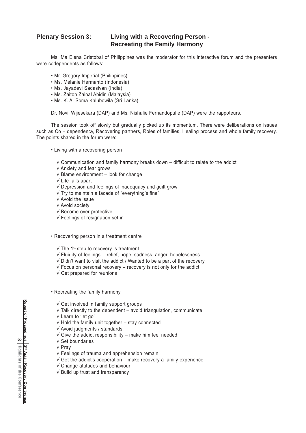#### **Plenary Session 3: Living with a Recovering Person - Recreating the Family Harmony**

Ms. Ma Elena Cristobal of Philippines was the moderator for this interactive forum and the presenters were codependents as follows:

- Mr. Gregory Imperial (Philippines)
- Ms. Melanie Hermanto (Indonesia)
- Ms. Jayadevi Sadasivan (India)
- Ms. Zaiton Zainal Abidin (Malaysia)
- Ms. K. A. Soma Kalubowila (Sri Lanka)

Dr. Novil Wijesekara (DAP) and Ms. Nishalie Fernandopulle (DAP) were the rappoteurs.

The session took off slowly but gradually picked up its momentum. There were deliberations on issues such as Co – dependency, Recovering partners, Roles of families, Healing process and whole family recovery. The points shared in the forum were:

- Living with a recovering person
	- $\sqrt{\frac{1}{2}}$  Communication and family harmony breaks down difficult to relate to the addict
	- √ Anxiety and fear grows
	- √ Blame environment look for change
	- √ Life falls apart
	- √ Depression and feelings of inadequacy and guilt grow
	- √ Try to maintain a facade of "everything's fine"
	- √ Avoid the issue
	- √ Avoid society
	- √ Become over protective
	- √ Feelings of resignation set in
- Recovering person in a treatment centre
	- √ The 1st step to recovery is treatment
	- √ Fluidity of feelings… relief, hope, sadness, anger, hopelessness
	- √ Didn't want to visit the addict / Wanted to be a part of the recovery
	- $\sqrt{\ }$  Focus on personal recovery recovery is not only for the addict
	- √ Get prepared for reunions
- Recreating the family harmony
	- √ Get involved in family support groups
	- $\sqrt{\ }$  Talk directly to the dependent avoid triangulation, communicate
	- √ Learn to 'let go'
	- √ Hold the family unit together stay connected
	- √ Avoid judgments / standards
	- $\sqrt{2}$  Give the addict responsibility make him feel needed
	- √ Set boundaries
	- √ Pray
	- √ Feelings of trauma and apprehension remain
	- $\sqrt{\frac{1}{10}}$  Get the addict's cooperation make recovery a family experience
	- √ Change attitudes and behaviour
	- √ Build up trust and transparency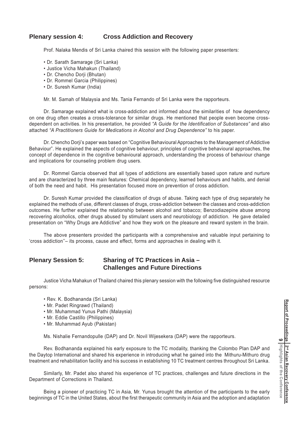#### **Plenary session 4: Cross Addiction and Recovery**

Prof. Nalaka Mendis of Sri Lanka chaired this session with the following paper presenters:

- Dr. Sarath Samarage (Sri Lanka)
- Justice Vicha Mahakun (Thailand)
- Dr. Chencho Dorji (Bhutan)
- Dr. Rommel Garcia (Philippines)
- Dr. Suresh Kumar (India)

Mr. M. Samah of Malaysia and Ms. Tania Fernando of Sri Lanka were the rapporteurs.

Dr. Samarage explained what is cross-addiction and informed about the similarities of how dependency on one drug often creates a cross-tolerance for similar drugs. He mentioned that people even become crossdependent on activities. In his presentation, he provided *"A Guide for the Identification of Substances"* and also attached *"A Practitioners Guide for Medications in Alcohol and Drug Dependence"* to his paper.

Dr. Chencho Dorji's paper was based on "Cognitive Behavioural Approaches to the Management of Addictive Behaviour". He explained the aspects of cognitive behaviour, principles of cognitive behavioural approaches, the concept of dependence in the cognitive behavioural approach, understanding the process of behaviour change and implications for counseling problem drug users.

Dr. Rommel Garcia observed that all types of addictions are essentially based upon nature and nurture and are characterized by three main features: Chemical dependency, learned behaviours and habits, and denial of both the need and habit. His presentation focused more on prevention of cross addiction.

Dr. Suresh Kumar provided the classification of drugs of abuse. Taking each type of drug separately he explained the methods of use, different classes of drugs, cross-addiction between the classes and cross-addiction outcomes. He further explained the relationship between alcohol and tobacco; Benzodiazepine abuse among recovering alcoholics, other drugs abused by stimulant users and neurobiology of addiction. He gave detailed presentation on "Why Drugs are Addictive" and how they work on the pleasure and reward system in the brain.

The above presenters provided the participants with a comprehensive and valuable input pertaining to 'cross addiction''– its process, cause and effect, forms and approaches in dealing with it.

#### **Plenary Session 5: Sharing of TC Practices in Asia – Challenges and Future Directions**

Justice Vicha Mahakun of Thailand chaired this plenary session with the following five distinguished resource persons:

- Rev. K. Bodhananda (Sri Lanka)
- Mr. Padet Ringrawd (Thailand)
- Mr. Muhammad Yunus Pathi (Malaysia)
- Mr. Eddie Castillo (Philippines)
- Mr. Muhammad Ayub (Pakistan)

Ms. Nishalie Fernandopulle (DAP) and Dr. Novil Wijesekera (DAP) were the rapporteurs.

Rev. Bodhananda explained his early exposure to the TC modality, thanking the Colombo Plan DAP and the Daytop International and shared his experience in introducing what he gained into the Mithuru-Mithuro drug treatment and rehabilitation facility and his success in establishing 10 TC treatment centres throughout Sri Lanka.

Similarly, Mr. Padet also shared his experience of TC practices, challenges and future directions in the Department of Corrections in Thailand.

Being a pioneer of practicing TC in Asia, Mr. Yunus brought the attention of the participants to the early beginnings of TC in the United States, about the first therapeutic community in Asia and the adoption and adaptation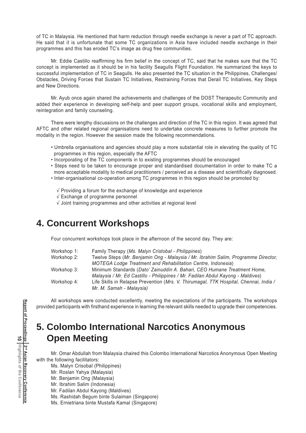of TC in Malaysia. He mentioned that harm reduction through needle exchange is never a part of TC approach. He said that it is unfortunate that some TC organizations in Asia have included needle exchange in their programmes and this has eroded TC's image as drug free communities.

Mr. Eddie Castillo reaffirming his firm belief in the concept of TC, said that he makes sure that the TC concept is implemented as it should be in his facility Seagulls Flight Foundation. He summarized the keys to successful implementation of TC in Seagulls. He also presented the TC situation in the Philippines, Challenges/ Obstacles, Driving Forces that Sustain TC Initiatives, Restraining Forces that Derail TC Initiatives, Key Steps and New Directions.

Mr. Ayub once again shared the achievements and challenges of the DOST Therapeutic Community and added their experience in developing self-help and peer support groups, vocational skills and employment, reintegration and family counseling.

There were lengthy discussions on the challenges and direction of the TC in this region. It was agreed that AFTC and other related regional organisations need to undertake concrete measures to further promote the modality in the region. However the session made the following recommendations.

- Umbrella organisations and agencies should play a more substantial role in elevating the quality of TC programmes in this region, especially the AFTC
- Incorporating of the TC components in to existing programmes should be encouraged
- Steps need to be taken to encourage proper and standardised documentation in order to make TC a more acceptable modality to medical practitioners / perceived as a disease and scientifically diagnosed.
- Inter-organisational co-operation among TC programmes in this region should be promoted by:
	- √ Providing a forum for the exchange of knowledge and experience
	- √ Exchange of programme personnel
	- √ Joint training programmes and other activities at regional level

### **4. Concurrent Workshops**

Four concurrent workshops took place in the afternoon of the second day. They are:

| Workshop 1: | Family Therapy (Ms. Malyn Cristobal - Philippines)                                    |
|-------------|---------------------------------------------------------------------------------------|
| Workshop 2: | Twelve Steps (Mr. Benjamin Ong - Malaysia / Mr. Ibrahim Salim, Programme Director,    |
|             | <b>MOTEGA Lodge Treatment and Rehabilitation Centre, Indonesia)</b>                   |
| Workshop 3: | Minimum Standards (Dato' Zainuddin A. Bahari, CEO Humane Treatment Home,              |
|             | Malaysia / Mr. Ed Castillo - Philippines / Mr. Fadilan Abdul Kayong - Maldives)       |
| Workshop 4: | Life Skills in Relapse Prevention (Mrs. V. Thirumagal, TTK Hospital, Chennai, India / |
|             | Mr. M. Samah - Malaysia)                                                              |

All workshops were conducted excellently, meeting the expectations of the participants. The workshops provided participants with firsthand experience in learning the relevant skills needed to upgrade their competencies.

# **5. Colombo International Narcotics Anonymous Open Meeting**

Mr. Omar Abdullah from Malaysia chaired this Colombo International Narcotics Anonymous Open Meeting with the following facilitators:

Ms. Malyn Crisobal (Philippines)

- Mr. Roslan Yahya (Malaysia)
- Mr. Benjamin Ong (Malaysia)
- Mr. Ibrahim Salim (Indonesia)
- Mr. Fadilan Abdul Kayong (Maldives)
- Ms. Rashidah Begum binte Sulaiman (Singapore)
- Ms. Ernietriana binte Mustafa Kamal (Singapore)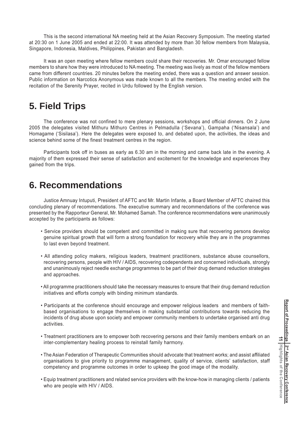This is the second international NA meeting held at the Asian Recovery Symposium. The meeting started at 20:30 on 1 June 2005 and ended at 22:00. It was attended by more than 30 fellow members from Malaysia, Singapore, Indonesia, Maldives, Philippines, Pakistan and Bangladesh.

It was an open meeting where fellow members could share their recoveries. Mr. Omar encouraged fellow members to share how they were introduced to NA meeting. The meeting was lively as most of the fellow members came from different countries. 20 minutes before the meeting ended, there was a question and answer session. Public information on Narcotics Anonymous was made known to all the members. The meeting ended with the recitation of the Serenity Prayer, recited in Urdu followed by the English version.

# **5. Field Trips**

The conference was not confined to mere plenary sessions, workshops and official dinners. On 2 June 2005 the delegates visited Mithuru Mithuro Centres in Pelmadulla ('Sevana'), Gampaha ('Nisansala') and Homagame ('Sisilasa'). Here the delegates were exposed to, and debated upon, the activities, the ideas and science behind some of the finest treatment centres in the region.

Participants took off in buses as early as 6.30 am in the morning and came back late in the evening. A majority of them expressed their sense of satisfaction and excitement for the knowledge and experiences they gained from the trips.

### **6. Recommendations**

Justice Amnuay Intuputi, President of AFTC and Mr. Martin Infante, a Board Member of AFTC chaired this concluding plenary of recommendations. The executive summary and recommendations of the conference was presented by the Rapporteur General, Mr. Mohamed Samah. The conference recommendations were unanimously accepted by the participants as follows:

- Service providers should be competent and committed in making sure that recovering persons develop genuine spiritual growth that will form a strong foundation for recovery while they are in the programmes to last even beyond treatment.
- All attending policy makers, religious leaders, treatment practitioners, substance abuse counsellors, recovering persons, people with HIV / AIDS, recovering codependents and concerned individuals, strongly and unanimously reject needle exchange programmes to be part of their drug demand reduction strategies and approaches.
- All programme practitioners should take the necessary measures to ensure that their drug demand reduction initiatives and efforts comply with binding minimum standards.
- Participants at the conference should encourage and empower religious leaders and members of faithbased organisations to engage themselves in making substantial contributions towards reducing the incidents of drug abuse upon society and empower community members to undertake organised anti drug activities.
- Treatment practitioners are to empower both recovering persons and their family members embark on an inter-complementary healing process to reinstall family harmony.
- The Asian Federation of Therapeutic Communities should advocate that treatment works; and assist affiliated organisations to give priority to programme management, quality of service, clients' satisfaction, staff competency and programme outcomes in order to upkeep the good image of the modality.
- Equip treatment practitioners and related service providers with the know-how in managing clients / patients who are people with HIV / AIDS.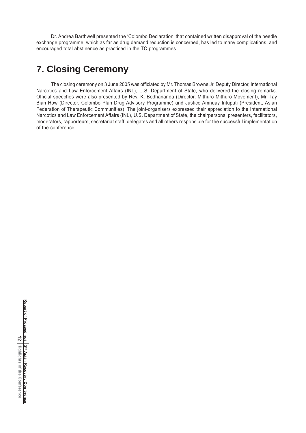Dr. Andrea Barthwell presented the 'Colombo Declaration' that contained written disapproval of the needle exchange programme, which as far as drug demand reduction is concerned, has led to many complications, and encouraged total abstinence as practiced in the TC programmes.

## **7. Closing Ceremony**

The closing ceremony on 3 June 2005 was officiated by Mr. Thomas Browne Jr. Deputy Director, International Narcotics and Law Enforcement Affairs (INL), U.S. Department of State, who delivered the closing remarks. Official speeches were also presented by Rev. K. Bodhananda (Director, Mithuro Mithuro Movement), Mr. Tay Bian How (Director, Colombo Plan Drug Advisory Programme) and Justice Amnuay Intuputi (President, Asian Federation of Therapeutic Communities). The joint-organisers expressed their appreciation to the International Narcotics and Law Enforcement Affairs (INL), U.S. Department of State, the chairpersons, presenters, facilitators, moderators, rapporteurs, secretariat staff, delegates and all others responsible for the successful implementation of the conference.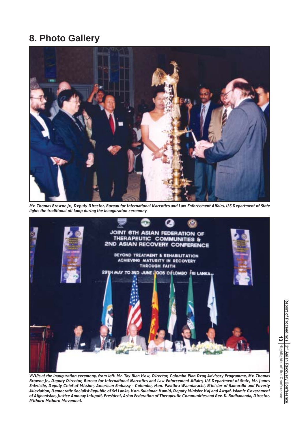### **8. Photo Gallery**



**Mr. Thomas Browne Jr., Deputy Director, Bureau for International Narcotics and Law Enforcement Affairs, US Department of State lights the traditional oil lamp during the inauguration ceremony.**



**VVIPs at the inauguration ceremony, from left: Mr. Tay Bian How, Director, Colombo Plan Drug Advisory Programme, Mr. Thomas Browne Jr., Deputy Director, Bureau for International Narcotics and Law Enforcement Affairs, US Department of State, Mr. James Entwistle, Deputy Chief-of-Mission, American Embassy - Colombo, Hon. Pavithra Wanniarachi, Minister of Samurdhi and Poverty Alleviation, Democratic Socialist Republic of Sri Lanka, Hon. Sulaiman Hamid, Deputy Minister Haj and Awqaf, Islamic Government of Afghanistan, Justice Amnuay Intuputi, President, Asian Federation of Therapeutic Communities and Rev. K. Bodhananda, Director, Mithuru Mithuro Movement.**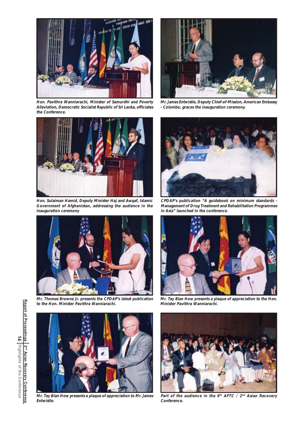

**Hon. Pavithra Wanniarachi, Minister of Samurdhi and Poverty Alleviation, Democratic Socialist Republic of Sri Lanka, officiates the Conference.**



**Hon. Sulaiman Hamid, Deputy Minister Haj and Awqaf, Islamic Government of Afghanistan, addressing the audience in the inauguration ceremony**



**Mr. Thomas Browne Jr. presents the CPDAP's latest publication to the Hon. Minister Pavithra Wanniarachi.**



**Mr. James Entwistle, Deputy Chief-of-Mission, American Embassy - Colombo, graces the inauguration ceremony.**



**CPDAP's publication "A guidebook on minimum standards - Management of Drug Treatment and Rehabilitation Programmes in Asia" launched in the conference.**



**Mr. Tay Bian How presents a plaque of appreciation to the Hon. Minister Pavithra Wanniarachi.**



**Mr. Tay Bian How presents a plaque of appreciation to Mr. James Entwistle.**



**Part of the audience in the 6th AFTC / 2nd Asian Recovery Conference.**